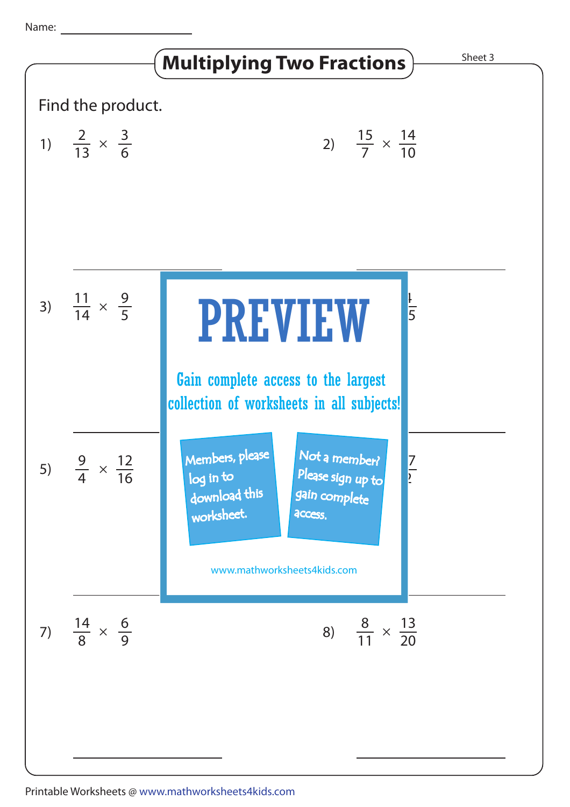